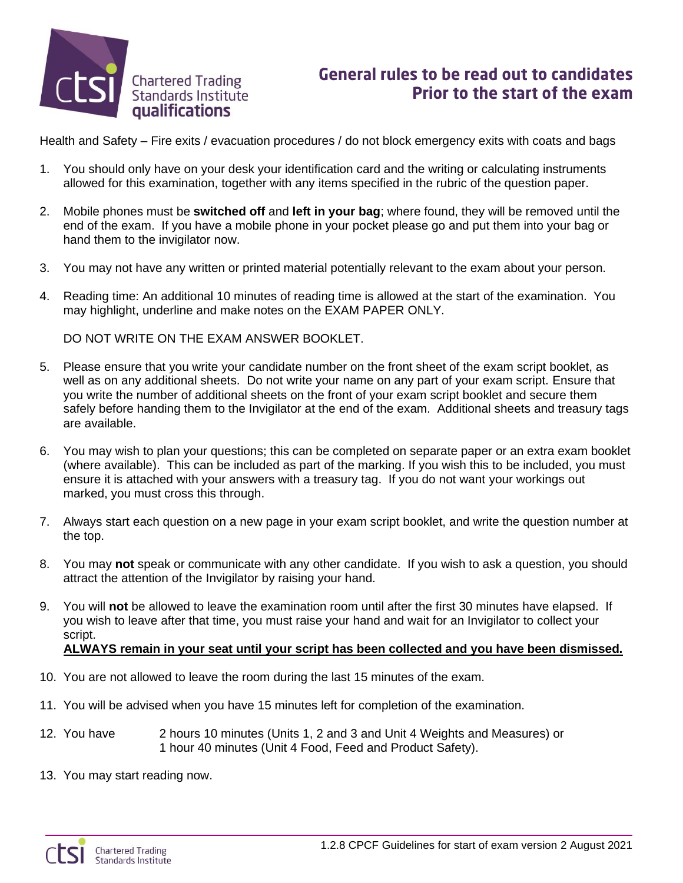

## **General rules to be read out to candidates** Prior to the start of the exam

Health and Safety – Fire exits / evacuation procedures / do not block emergency exits with coats and bags

- 1. You should only have on your desk your identification card and the writing or calculating instruments allowed for this examination, together with any items specified in the rubric of the question paper.
- 2. Mobile phones must be **switched off** and **left in your bag**; where found, they will be removed until the end of the exam. If you have a mobile phone in your pocket please go and put them into your bag or hand them to the invigilator now.
- 3. You may not have any written or printed material potentially relevant to the exam about your person.
- 4. Reading time: An additional 10 minutes of reading time is allowed at the start of the examination. You may highlight, underline and make notes on the EXAM PAPER ONLY.

DO NOT WRITE ON THE EXAM ANSWER BOOKLET.

- 5. Please ensure that you write your candidate number on the front sheet of the exam script booklet, as well as on any additional sheets. Do not write your name on any part of your exam script. Ensure that you write the number of additional sheets on the front of your exam script booklet and secure them safely before handing them to the Invigilator at the end of the exam. Additional sheets and treasury tags are available.
- 6. You may wish to plan your questions; this can be completed on separate paper or an extra exam booklet (where available). This can be included as part of the marking. If you wish this to be included, you must ensure it is attached with your answers with a treasury tag. If you do not want your workings out marked, you must cross this through.
- 7. Always start each question on a new page in your exam script booklet, and write the question number at the top.
- 8. You may **not** speak or communicate with any other candidate. If you wish to ask a question, you should attract the attention of the Invigilator by raising your hand.
- 9. You will **not** be allowed to leave the examination room until after the first 30 minutes have elapsed. If you wish to leave after that time, you must raise your hand and wait for an Invigilator to collect your script.

## **ALWAYS remain in your seat until your script has been collected and you have been dismissed.**

- 10. You are not allowed to leave the room during the last 15 minutes of the exam.
- 11. You will be advised when you have 15 minutes left for completion of the examination.
- 12. You have 2 hours 10 minutes (Units 1, 2 and 3 and Unit 4 Weights and Measures) or 1 hour 40 minutes (Unit 4 Food, Feed and Product Safety).
- 13. You may start reading now.